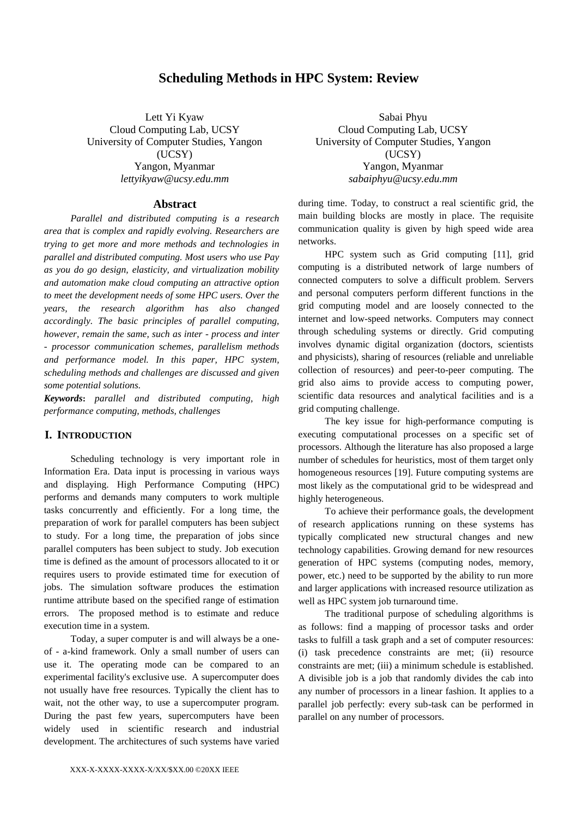# **Scheduling Methods in HPC System: Review**

Lett Yi Kyaw Cloud Computing Lab, UCSY University of Computer Studies, Yangon (UCSY) Yangon, Myanmar *[lettyikyaw@ucsy.edu.mm](mailto:lettyikyaw@ucsy.edu.mm)*

#### **Abstract**

*Parallel and distributed computing is a research area that is complex and rapidly evolving. Researchers are trying to get more and more methods and technologies in parallel and distributed computing. Most users who use Pay as you do go design, elasticity, and virtualization mobility and automation make cloud computing an attractive option to meet the development needs of some HPC users. Over the years, the research algorithm has also changed accordingly. The basic principles of parallel computing, however, remain the same, such as inter - process and inter - processor communication schemes, parallelism methods and performance model. In this paper, HPC system, scheduling methods and challenges are discussed and given some potential solutions.*

*Keywords***:** *parallel and distributed computing, high performance computing, methods, challenges*

### **I. INTRODUCTION**

Scheduling technology is very important role in Information Era. Data input is processing in various ways and displaying. High Performance Computing (HPC) performs and demands many computers to work multiple tasks concurrently and efficiently. For a long time, the preparation of work for parallel computers has been subject to study. For a long time, the preparation of jobs since parallel computers has been subject to study. Job execution time is defined as the amount of processors allocated to it or requires users to provide estimated time for execution of jobs. The simulation software produces the estimation runtime attribute based on the specified range of estimation errors. The proposed method is to estimate and reduce execution time in a system.

Today, a super computer is and will always be a oneof - a-kind framework. Only a small number of users can use it. The operating mode can be compared to an experimental facility's exclusive use. A supercomputer does not usually have free resources. Typically the client has to wait, not the other way, to use a supercomputer program. During the past few years, supercomputers have been widely used in scientific research and industrial development. The architectures of such systems have varied

Sabai Phyu Cloud Computing Lab, UCSY University of Computer Studies, Yangon (UCSY) Yangon, Myanmar *[sabaiphyu@ucsy.edu.mm](mailto:sabaiphyu@ucsy.edu.mm)*

during time. Today, to construct a real scientific grid, the main building blocks are mostly in place. The requisite communication quality is given by high speed wide area networks.

HPC system such as Grid computing [11], grid computing is a distributed network of large numbers of connected computers to solve a difficult problem. Servers and personal computers perform different functions in the grid computing model and are loosely connected to the internet and low-speed networks. Computers may connect through scheduling systems or directly. Grid computing involves dynamic digital organization (doctors, scientists and physicists), sharing of resources (reliable and unreliable collection of resources) and peer-to-peer computing. The grid also aims to provide access to computing power, scientific data resources and analytical facilities and is a grid computing challenge.

The key issue for high-performance computing is executing computational processes on a specific set of processors. Although the literature has also proposed a large number of schedules for heuristics, most of them target only homogeneous resources [19]. Future computing systems are most likely as the computational grid to be widespread and highly heterogeneous.

To achieve their performance goals, the development of research applications running on these systems has typically complicated new structural changes and new technology capabilities. Growing demand for new resources generation of HPC systems (computing nodes, memory, power, etc.) need to be supported by the ability to run more and larger applications with increased resource utilization as well as HPC system job turnaround time.

The traditional purpose of scheduling algorithms is as follows: find a mapping of processor tasks and order tasks to fulfill a task graph and a set of computer resources: (i) task precedence constraints are met; (ii) resource constraints are met; (iii) a minimum schedule is established. A divisible job is a job that randomly divides the cab into any number of processors in a linear fashion. It applies to a parallel job perfectly: every sub-task can be performed in parallel on any number of processors.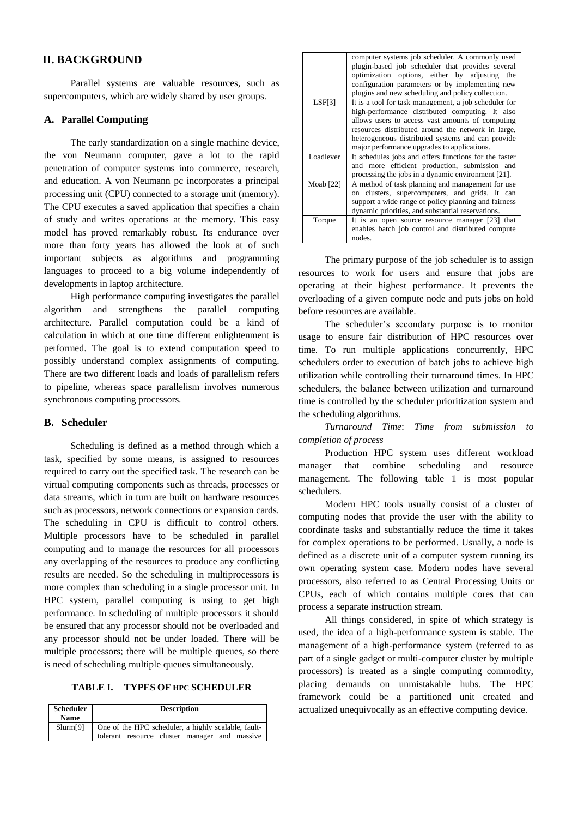## **II. BACKGROUND**

Parallel systems are valuable resources, such as supercomputers, which are widely shared by user groups.

### **A. Parallel Computing**

The early standardization on a single machine device, the von Neumann computer, gave a lot to the rapid penetration of computer systems into commerce, research, and education. A von Neumann pc incorporates a principal processing unit (CPU) connected to a storage unit (memory). The CPU executes a saved application that specifies a chain of study and writes operations at the memory. This easy model has proved remarkably robust. Its endurance over more than forty years has allowed the look at of such important subjects as algorithms and programming languages to proceed to a big volume independently of developments in laptop architecture.

High performance computing investigates the parallel algorithm and strengthens the parallel computing architecture. Parallel computation could be a kind of calculation in which at one time different enlightenment is performed. The goal is to extend computation speed to possibly understand complex assignments of computing. There are two different loads and loads of parallelism refers to pipeline, whereas space parallelism involves numerous synchronous computing processors.

#### **B. Scheduler**

Scheduling is defined as a method through which a task, specified by some means, is assigned to resources required to carry out the specified task. The research can be virtual computing components such as threads, processes or data streams, which in turn are built on hardware resources such as processors, network connections or expansion cards. The scheduling in CPU is difficult to control others. Multiple processors have to be scheduled in parallel computing and to manage the resources for all processors any overlapping of the resources to produce any conflicting results are needed. So the scheduling in multiprocessors is more complex than scheduling in a single processor unit. In HPC system, parallel computing is using to get high performance. In scheduling of multiple processors it should be ensured that any processor should not be overloaded and any processor should not be under loaded. There will be multiple processors; there will be multiple queues, so there is need of scheduling multiple queues simultaneously.

#### **TABLE I. TYPES OF HPC SCHEDULER**

| <b>Scheduler</b><br><b>Name</b> | <b>Description</b>                                                                                   |  |  |
|---------------------------------|------------------------------------------------------------------------------------------------------|--|--|
| Slurm[9]                        | One of the HPC scheduler, a highly scalable, fault-<br>tolerant resource cluster manager and massive |  |  |

|             | computer systems job scheduler. A commonly used<br>plugin-based job scheduler that provides several<br>optimization options, either by adjusting the<br>configuration parameters or by implementing new<br>plugins and new scheduling and policy collection.                                                           |
|-------------|------------------------------------------------------------------------------------------------------------------------------------------------------------------------------------------------------------------------------------------------------------------------------------------------------------------------|
| LSF[3]      | It is a tool for task management, a job scheduler for<br>high-performance distributed computing. It also<br>allows users to access vast amounts of computing<br>resources distributed around the network in large,<br>heterogeneous distributed systems and can provide<br>major performance upgrades to applications. |
| Loadlever   | It schedules jobs and offers functions for the faster<br>and more efficient production, submission and<br>processing the jobs in a dynamic environment [21].                                                                                                                                                           |
| Moab $[22]$ | A method of task planning and management for use<br>on clusters, supercomputers, and grids. It can<br>support a wide range of policy planning and fairness<br>dynamic priorities, and substantial reservations.                                                                                                        |
| Torque      | It is an open source resource manager [23] that<br>enables batch job control and distributed compute<br>nodes.                                                                                                                                                                                                         |

The primary purpose of the job scheduler is to assign resources to work for users and ensure that jobs are operating at their highest performance. It prevents the overloading of a given compute node and puts jobs on hold before resources are available.

The scheduler's secondary purpose is to monitor usage to ensure fair distribution of HPC resources over time. To run multiple applications concurrently, HPC schedulers order to execution of batch jobs to achieve high utilization while controlling their turnaround times. In HPC schedulers, the balance between utilization and turnaround time is controlled by the scheduler prioritization system and the scheduling algorithms.

*Turnaround Time*: *Time from submission to completion of process*

Production HPC system uses different workload manager that combine scheduling and resource management. The following table 1 is most popular schedulers.

Modern HPC tools usually consist of a cluster of computing nodes that provide the user with the ability to coordinate tasks and substantially reduce the time it takes for complex operations to be performed. Usually, a node is defined as a discrete unit of a computer system running its own operating system case. Modern nodes have several processors, also referred to as Central Processing Units or CPUs, each of which contains multiple cores that can process a separate instruction stream.

All things considered, in spite of which strategy is used, the idea of a high-performance system is stable. The management of a high-performance system (referred to as part of a single gadget or multi-computer cluster by multiple processors) is treated as a single computing commodity, placing demands on unmistakable hubs. The HPC framework could be a partitioned unit created and actualized unequivocally as an effective computing device.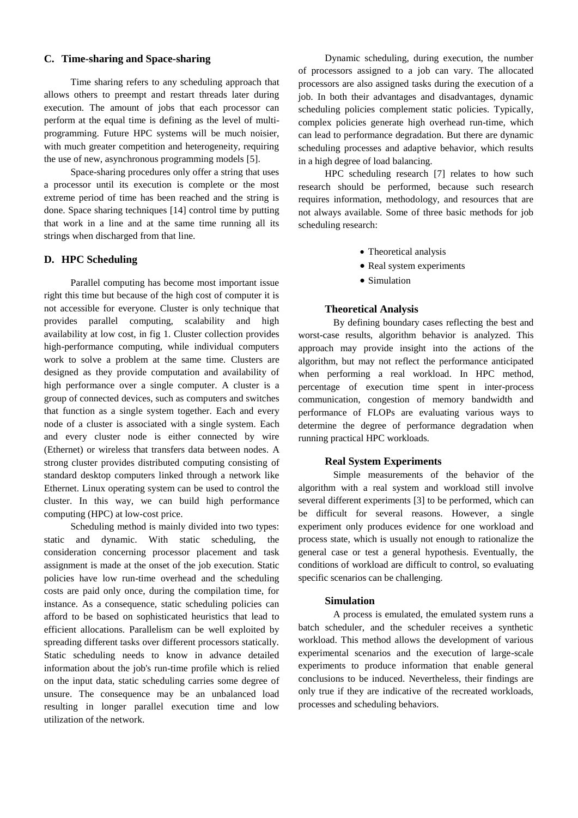### **C. Time-sharing and Space-sharing**

Time sharing refers to any scheduling approach that allows others to preempt and restart threads later during execution. The amount of jobs that each processor can perform at the equal time is defining as the level of multiprogramming. Future HPC systems will be much noisier, with much greater competition and heterogeneity, requiring the use of new, asynchronous programming models [5].

Space-sharing procedures only offer a string that uses a processor until its execution is complete or the most extreme period of time has been reached and the string is done. Space sharing techniques [14] control time by putting that work in a line and at the same time running all its strings when discharged from that line.

#### **D. HPC Scheduling**

Parallel computing has become most important issue right this time but because of the high cost of computer it is not accessible for everyone. Cluster is only technique that provides parallel computing, scalability and high availability at low cost, in fig 1. Cluster collection provides high-performance computing, while individual computers work to solve a problem at the same time. Clusters are designed as they provide computation and availability of high performance over a single computer. A cluster is a group of connected devices, such as computers and switches that function as a single system together. Each and every node of a cluster is associated with a single system. Each and every cluster node is either connected by wire (Ethernet) or wireless that transfers data between nodes. A strong cluster provides distributed computing consisting of standard desktop computers linked through a network like Ethernet. Linux operating system can be used to control the cluster. In this way, we can build high performance computing (HPC) at low-cost price.

Scheduling method is mainly divided into two types: static and dynamic. With static scheduling, the consideration concerning processor placement and task assignment is made at the onset of the job execution. Static policies have low run-time overhead and the scheduling costs are paid only once, during the compilation time, for instance. As a consequence, static scheduling policies can afford to be based on sophisticated heuristics that lead to efficient allocations. Parallelism can be well exploited by spreading different tasks over different processors statically. Static scheduling needs to know in advance detailed information about the job's run-time profile which is relied on the input data, static scheduling carries some degree of unsure. The consequence may be an unbalanced load resulting in longer parallel execution time and low utilization of the network.

Dynamic scheduling, during execution, the number of processors assigned to a job can vary. The allocated processors are also assigned tasks during the execution of a job. In both their advantages and disadvantages, dynamic scheduling policies complement static policies. Typically, complex policies generate high overhead run-time, which can lead to performance degradation. But there are dynamic scheduling processes and adaptive behavior, which results in a high degree of load balancing.

HPC scheduling research [7] relates to how such research should be performed, because such research requires information, methodology, and resources that are not always available. Some of three basic methods for job scheduling research:

- Theoretical analysis
- Real system experiments
- Simulation

### **Theoretical Analysis**

By defining boundary cases reflecting the best and worst-case results, algorithm behavior is analyzed. This approach may provide insight into the actions of the algorithm, but may not reflect the performance anticipated when performing a real workload. In HPC method, percentage of execution time spent in inter-process communication, congestion of memory bandwidth and performance of FLOPs are evaluating various ways to determine the degree of performance degradation when running practical HPC workloads.

### **Real System Experiments**

Simple measurements of the behavior of the algorithm with a real system and workload still involve several different experiments [3] to be performed, which can be difficult for several reasons. However, a single experiment only produces evidence for one workload and process state, which is usually not enough to rationalize the general case or test a general hypothesis. Eventually, the conditions of workload are difficult to control, so evaluating specific scenarios can be challenging.

#### **Simulation**

A process is emulated, the emulated system runs a batch scheduler, and the scheduler receives a synthetic workload. This method allows the development of various experimental scenarios and the execution of large-scale experiments to produce information that enable general conclusions to be induced. Nevertheless, their findings are only true if they are indicative of the recreated workloads, processes and scheduling behaviors.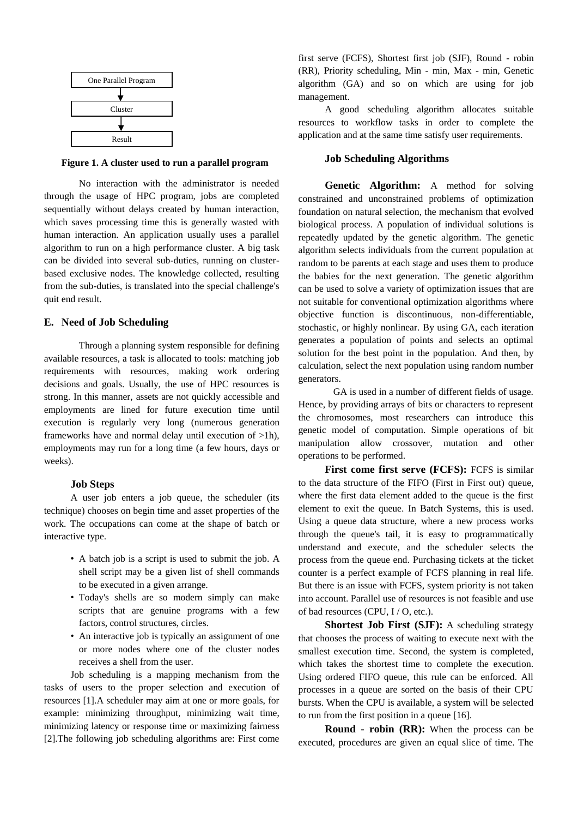

**Figure 1. A cluster used to run a parallel program**

No interaction with the administrator is needed through the usage of HPC program, jobs are completed sequentially without delays created by human interaction, which saves processing time this is generally wasted with human interaction. An application usually uses a parallel algorithm to run on a high performance cluster. A big task can be divided into several sub-duties, running on clusterbased exclusive nodes. The knowledge collected, resulting from the sub-duties, is translated into the special challenge's quit end result.

#### **E. Need of Job Scheduling**

Through a planning system responsible for defining available resources, a task is allocated to tools: matching job requirements with resources, making work ordering decisions and goals. Usually, the use of HPC resources is strong. In this manner, assets are not quickly accessible and employments are lined for future execution time until execution is regularly very long (numerous generation frameworks have and normal delay until execution of >1h), employments may run for a long time (a few hours, days or weeks).

#### **Job Steps**

A user job enters a job queue, the scheduler (its technique) chooses on begin time and asset properties of the work. The occupations can come at the shape of batch or interactive type.

- A batch job is a script is used to submit the job. A shell script may be a given list of shell commands to be executed in a given arrange.
- Today's shells are so modern simply can make scripts that are genuine programs with a few factors, control structures, circles.
- An interactive job is typically an assignment of one or more nodes where one of the cluster nodes receives a shell from the user.

Job scheduling is a mapping mechanism from the tasks of users to the proper selection and execution of resources [1].A scheduler may aim at one or more goals, for example: minimizing throughput, minimizing wait time, minimizing latency or response time or maximizing fairness [2].The following job scheduling algorithms are: First come

first serve (FCFS), Shortest first job (SJF), Round - robin (RR), Priority scheduling, Min - min, Max - min, Genetic algorithm (GA) and so on which are using for job management.

A good scheduling algorithm allocates suitable resources to workflow tasks in order to complete the application and at the same time satisfy user requirements.

### **Job Scheduling Algorithms**

**Genetic Algorithm:** A method for solving constrained and unconstrained problems of optimization foundation on natural selection, the mechanism that evolved biological process. A population of individual solutions is repeatedly updated by the genetic algorithm. The genetic algorithm selects individuals from the current population at random to be parents at each stage and uses them to produce the babies for the next generation. The genetic algorithm can be used to solve a variety of optimization issues that are not suitable for conventional optimization algorithms where objective function is discontinuous, non-differentiable, stochastic, or highly nonlinear. By using GA, each iteration generates a population of points and selects an optimal solution for the best point in the population. And then, by calculation, select the next population using random number generators.

GA is used in a number of different fields of usage. Hence, by providing arrays of bits or characters to represent the chromosomes, most researchers can introduce this genetic model of computation. Simple operations of bit manipulation allow crossover, mutation and other operations to be performed.

**First come first serve (FCFS):** FCFS is similar to the data structure of the FIFO (First in First out) queue, where the first data element added to the queue is the first element to exit the queue. In Batch Systems, this is used. Using a queue data structure, where a new process works through the queue's tail, it is easy to programmatically understand and execute, and the scheduler selects the process from the queue end. Purchasing tickets at the ticket counter is a perfect example of FCFS planning in real life. But there is an issue with FCFS, system priority is not taken into account. Parallel use of resources is not feasible and use of bad resources (CPU, I / O, etc.).

**Shortest Job First (SJF):** A scheduling strategy that chooses the process of waiting to execute next with the smallest execution time. Second, the system is completed, which takes the shortest time to complete the execution. Using ordered FIFO queue, this rule can be enforced. All processes in a queue are sorted on the basis of their CPU bursts. When the CPU is available, a system will be selected to run from the first position in a queue [16].

**Round - robin (RR):** When the process can be executed, procedures are given an equal slice of time. The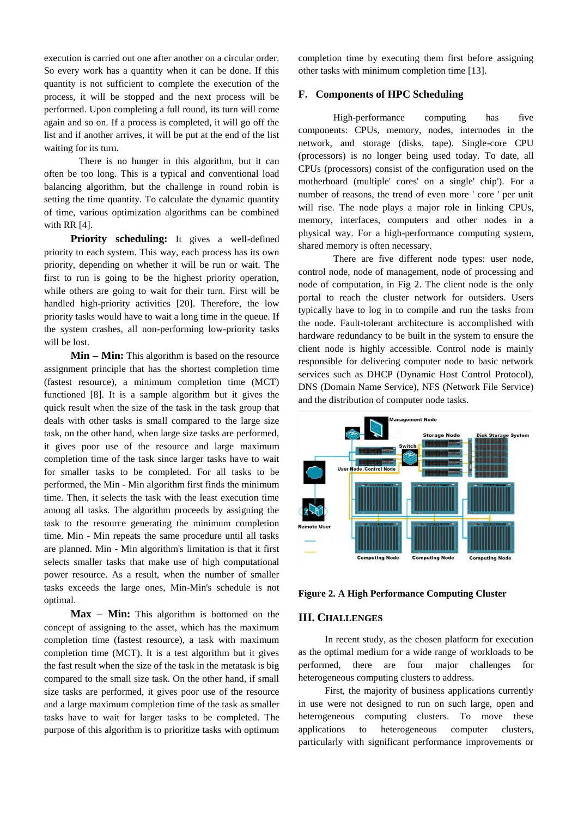execution is carried out one after another on a circular order. So every work has a quantity when it can be done. If this quantity is not sufficient to complete the execution of the process, it will be stopped and the next process will be performed. Upon completing a full round, its turn will come again and so on. If a process is completed, it will go off the list and if another arrives, it will be put at the end of the list waiting for its turn.

There is no hunger in this algorithm, but it can often be too long. This is a typical and conventional load balancing algorithm, but the challenge in round robin is setting the time quantity. To calculate the dynamic quantity of time, various optimization algorithms can be combined with RR [4].

**Priority scheduling:** It gives a well-defined priority to each system. This way, each process has its own priority, depending on whether it will be run or wait. The first to run is going to be the highest priority operation, while others are going to wait for their turn. First will be handled high-priority activities [20]. Therefore, the low priority tasks would have to wait a long time in the queue. If the system crashes, all non-performing low-priority tasks will be lost.

**Min – Min:** This algorithm is based on the resource assignment principle that has the shortest completion time (fastest resource), a minimum completion time (MCT) functioned [8]. It is a sample algorithm but it gives the quick result when the size of the task in the task group that deals with other tasks is small compared to the large size task, on the other hand, when large size tasks are performed, it gives poor use of the resource and large maximum completion time of the task since larger tasks have to wait for smaller tasks to be completed. For all tasks to be performed, the Min - Min algorithm first finds the minimum time. Then, it selects the task with the least execution time among all tasks. The algorithm proceeds by assigning the task to the resource generating the minimum completion time. Min - Min repeats the same procedure until all tasks are planned. Min - Min algorithm's limitation is that it first selects smaller tasks that make use of high computational power resource. As a result, when the number of smaller tasks exceeds the large ones, Min-Min's schedule is not optimal.

**Max – Min:** This algorithm is bottomed on the concept of assigning to the asset, which has the maximum completion time (fastest resource), a task with maximum completion time (MCT). It is a test algorithm but it gives the fast result when the size of the task in the metatask is big compared to the small size task. On the other hand, if small size tasks are performed, it gives poor use of the resource and a large maximum completion time of the task as smaller tasks have to wait for larger tasks to be completed. The purpose of this algorithm is to prioritize tasks with optimum

completion time by executing them first before assigning other tasks with minimum completion time [13].

### **F. Components of HPC Scheduling**

High-performance computing has five components: CPUs, memory, nodes, internodes in the network, and storage (disks, tape). Single-core CPU (processors) is no longer being used today. To date, all CPUs (processors) consist of the configuration used on the motherboard (multiple' cores' on a single' chip'). For a number of reasons, the trend of even more ' core ' per unit will rise. The node plays a major role in linking CPUs, memory, interfaces, computers and other nodes in a physical way. For a high-performance computing system, shared memory is often necessary.

There are five different node types: user node, control node, node of management, node of processing and node of computation, in Fig 2. The client node is the only portal to reach the cluster network for outsiders. Users typically have to log in to compile and run the tasks from the node. Fault-tolerant architecture is accomplished with hardware redundancy to be built in the system to ensure the client node is highly accessible. Control node is mainly responsible for delivering computer node to basic network services such as DHCP (Dynamic Host Control Protocol), DNS (Domain Name Service), NFS (Network File Service) and the distribution of computer node tasks.



**Figure 2. A High Performance Computing Cluster**

#### **III. CHALLENGES**

In recent study, as the chosen platform for execution as the optimal medium for a wide range of workloads to be performed, there are four major challenges for heterogeneous computing clusters to address.

First, the majority of business applications currently in use were not designed to run on such large, open and heterogeneous computing clusters. To move these applications to heterogeneous computer clusters, particularly with significant performance improvements or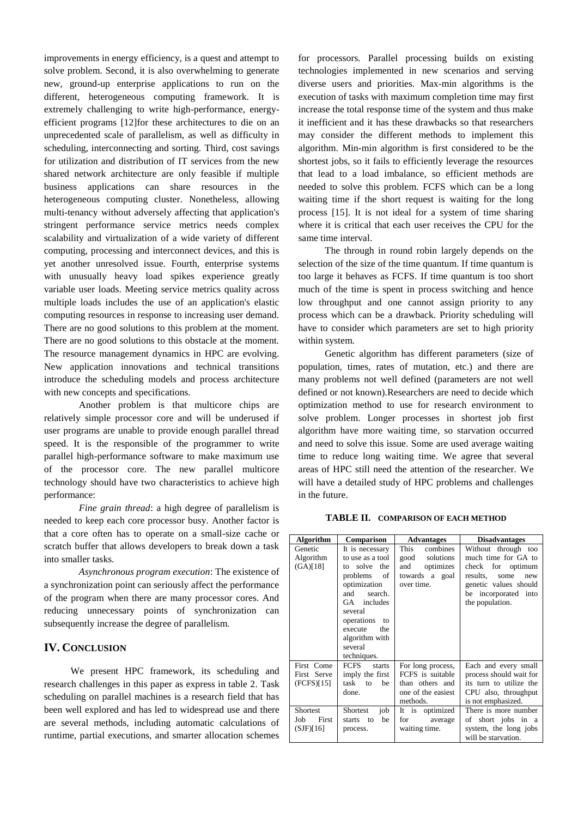improvements in energy efficiency, is a quest and attempt to solve problem. Second, it is also overwhelming to generate new, ground-up enterprise applications to run on the different, heterogeneous computing framework. It is extremely challenging to write high-performance, energyefficient programs [12]for these architectures to die on an unprecedented scale of parallelism, as well as difficulty in scheduling, interconnecting and sorting. Third, cost savings for utilization and distribution of IT services from the new shared network architecture are only feasible if multiple business applications can share resources in the heterogeneous computing cluster. Nonetheless, allowing multi-tenancy without adversely affecting that application's stringent performance service metrics needs complex scalability and virtualization of a wide variety of different computing, processing and interconnect devices, and this is yet another unresolved issue. Fourth, enterprise systems with unusually heavy load spikes experience greatly variable user loads. Meeting service metrics quality across multiple loads includes the use of an application's elastic computing resources in response to increasing user demand. There are no good solutions to this problem at the moment. There are no good solutions to this obstacle at the moment. The resource management dynamics in HPC are evolving. New application innovations and technical transitions introduce the scheduling models and process architecture with new concepts and specifications.

Another problem is that multicore chips are relatively simple processor core and will be underused if user programs are unable to provide enough parallel thread speed. It is the responsible of the programmer to write parallel high-performance software to make maximum use of the processor core. The new parallel multicore technology should have two characteristics to achieve high performance:

*Fine grain thread*: a high degree of parallelism is needed to keep each core processor busy. Another factor is that a core often has to operate on a small-size cache or scratch buffer that allows developers to break down a task into smaller tasks.

*Asynchronous program execution*: The existence of a synchronization point can seriously affect the performance of the program when there are many processor cores. And reducing unnecessary points of synchronization can subsequently increase the degree of parallelism.

## **IV. CONCLUSION**

We present HPC framework, its scheduling and research challenges in this paper as express in table 2. Task scheduling on parallel machines is a research field that has been well explored and has led to widespread use and there are several methods, including automatic calculations of runtime, partial executions, and smarter allocation schemes

for processors. Parallel processing builds on existing technologies implemented in new scenarios and serving diverse users and priorities. Max-min algorithms is the execution of tasks with maximum completion time may first increase the total response time of the system and thus make it inefficient and it has these drawbacks so that researchers may consider the different methods to implement this algorithm. Min-min algorithm is first considered to be the shortest jobs, so it fails to efficiently leverage the resources that lead to a load imbalance, so efficient methods are needed to solve this problem. FCFS which can be a long waiting time if the short request is waiting for the long process [15]. It is not ideal for a system of time sharing where it is critical that each user receives the CPU for the same time interval.

The through in round robin largely depends on the selection of the size of the time quantum. If time quantum is too large it behaves as FCFS. If time quantum is too short much of the time is spent in process switching and hence low throughput and one cannot assign priority to any process which can be a drawback. Priority scheduling will have to consider which parameters are set to high priority within system.

Genetic algorithm has different parameters (size of population, times, rates of mutation, etc.) and there are many problems not well defined (parameters are not well defined or not known).Researchers are need to decide which optimization method to use for research environment to solve problem. Longer processes in shortest job first algorithm have more waiting time, so starvation occurred and need to solve this issue. Some are used average waiting time to reduce long waiting time. We agree that several areas of HPC still need the attention of the researcher. We will have a detailed study of HPC problems and challenges in the future.

**TABLE II. COMPARISON OF EACH METHOD**

| <b>Algorithm</b> | Comparison                     | <b>Advantages</b>     | <b>Disadvantages</b>    |
|------------------|--------------------------------|-----------------------|-------------------------|
| Genetic          | It is necessary                | This<br>combines      | Without through too     |
| Algorithm        | to use as a tool               | solutions<br>good     | much time for GA to     |
| (GA)[18]         | solve the<br>tο                | and<br>optimizes      | check for optimum       |
|                  | problems<br>of                 | towards a<br>goal     | results.<br>some<br>new |
|                  | optimization                   | over time.            | genetic values should   |
|                  | search.<br>and                 |                       | be incorporated into    |
|                  | GA includes                    |                       | the population.         |
|                  | several                        |                       |                         |
|                  | operations<br>to               |                       |                         |
|                  | execute<br>the                 |                       |                         |
|                  | algorithm with                 |                       |                         |
|                  | several                        |                       |                         |
|                  | techniques.                    |                       |                         |
| First Come       | <b>FCFS</b><br>starts          | For long process,     | Each and every small    |
| First Serve      | imply the first                | FCFS is suitable      | process should wait for |
| (FCFS)[15]       | task<br>be<br>to               | than others and       | its turn to utilize the |
|                  | done.                          | one of the easiest    | CPU also, throughput    |
|                  |                                | methods.              | is not emphasized.      |
| Shortest         | Shortest<br>job                | It<br>is<br>optimized | There is more number    |
| Job<br>First     | be<br>starts<br>$\overline{t}$ | for<br>average        | of short jobs in a      |
| (SJF)[16]        | process.                       | waiting time.         | system, the long jobs   |
|                  |                                |                       | will be starvation.     |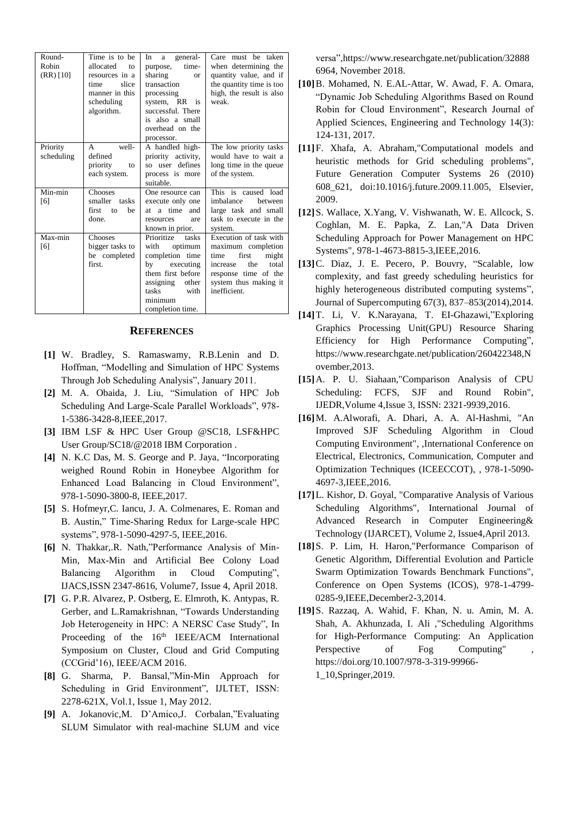| Round-<br>Robin<br>$(RR)$ [10] | Time is to be<br>allocated<br>to<br>resources in a<br>slice<br>time<br>manner in this<br>scheduling<br>algorithm. | general-<br>In<br>a<br>time-<br>purpose,<br>sharing<br><b>or</b><br>transaction<br>processing<br>system, RR is<br>successful. There<br>is also a small<br>overhead on the<br>processor. | Care must be taken<br>when determining the<br>quantity value, and if<br>the quantity time is too<br>high, the result is also<br>weak                                |
|--------------------------------|-------------------------------------------------------------------------------------------------------------------|-----------------------------------------------------------------------------------------------------------------------------------------------------------------------------------------|---------------------------------------------------------------------------------------------------------------------------------------------------------------------|
| Priority<br>scheduling         | well-<br>$\mathsf{A}$<br>defined<br>priority<br>to<br>each system.                                                | A handled high-<br>priority activity,<br>so user defines<br>process is more<br>suitable.                                                                                                | The low priority tasks<br>would have to wait a<br>long time in the queue<br>of the system.                                                                          |
| Min-min<br>[6]                 | <b>Chooses</b><br>smaller tasks<br>first to<br>be<br>done.                                                        | One resource can<br>execute only one<br>at a time<br>and<br>resources<br>are<br>known in prior.                                                                                         | This is caused load<br>imbalance<br>hetween<br>large task and small<br>task to execute in the<br>system.                                                            |
| Max-min<br>[6]                 | <b>Chooses</b><br>bigger tasks to<br>be completed<br>first.                                                       | Prioritize<br>tasks<br>with<br>optimum<br>completion time<br>executing<br>bv<br>them first before<br>assigning<br>other<br>tasks<br>with<br>minimum<br>completion time.                 | Execution of task with<br>maximum completion<br>first<br>might<br>time<br>total<br>the<br>increase<br>response time of the<br>system thus making it<br>inefficient. |

## **REFERENCES**

- **[1]** W. Bradley, S. Ramaswamy, R.B.Lenin and D. Hoffman, "Modelling and Simulation of HPC Systems Through Job Scheduling Analysis", January 2011.
- **[2]** M. A. Obaida, J. Liu, "Simulation of HPC Job Scheduling And Large-Scale Parallel Workloads", 978- 1-5386-3428-8,IEEE,2017.
- **[3]** IBM LSF & HPC User Group @SC18, LSF&HPC User Group/SC18/@2018 IBM Corporation .
- **[4]** N. K.C Das, M. S. George and P. Jaya, "Incorporating weighed Round Robin in Honeybee Algorithm for Enhanced Load Balancing in Cloud Environment", 978-1-5090-3800-8, IEEE,2017.
- **[5]** S. Hofmeyr,C. Iancu, J. A. Colmenares, E. Roman and B. Austin," Time-Sharing Redux for Large-scale HPC systems", 978-1-5090-4297-5, IEEE,2016.
- **[6]** N. Thakkar,.R. Nath,"Performance Analysis of Min-Min, Max-Min and Artificial Bee Colony Load Balancing Algorithm in Cloud Computing", IJACS,ISSN 2347-8616, Volume7, Issue 4, April 2018.
- **[7]** G. P.R. Alvarez, P. Ostberg, E. Elmroth, K. Antypas, R. Gerber, and L.Ramakrishnan, "Towards Understanding Job Heterogeneity in HPC: A NERSC Case Study", In Proceeding of the 16<sup>th</sup> IEEE/ACM International Symposium on Cluster, Cloud and Grid Computing (CCGrid'16), IEEE/ACM 2016.
- **[8]** G. Sharma, P. Bansal,"Min-Min Approach for Scheduling in Grid Environment", IJLTET, ISSN: 2278-621X, Vol.1, Issue 1, May 2012.
- **[9]** A. Jokanovic,M. D'Amico,J. Corbalan,"Evaluating SLUM Simulator with real-machine SLUM and vice

versa",https://www.researchgate.net/publication/32888 6964, November 2018.

- **[10]**B. Mohamed, N. E.AL-Attar, W. Awad, F. A. Omara, "Dynamic Job Scheduling Algorithms Based on Round Robin for Cloud Environment", Research Journal of Applied Sciences, Engineering and Technology 14(3): 124-131, 2017.
- **[11]**F. Xhafa, A. Abraham,"Computational models and heuristic methods for Grid scheduling problems", Future Generation Computer Systems 26 (2010) 608\_621, doi:10.1016/j.future.2009.11.005, Elsevier, 2009.
- **[12]**S. Wallace, X.Yang, V. Vishwanath, W. E. Allcock, S. Coghlan, M. E. Papka, Z. Lan,"A Data Driven Scheduling Approach for Power Management on HPC Systems", 978-1-4673-8815-3,IEEE,2016.
- **[13]**C. Diaz, J. E. Pecero, P. Bouvry, "Scalable, low complexity, and fast greedy scheduling heuristics for highly heterogeneous distributed computing systems", Journal of Supercomputing 67(3), 837–853(2014),2014.
- **[14]**T. Li, V. K.Narayana, T. EI-Ghazawi,"Exploring Graphics Processing Unit(GPU) Resource Sharing Efficiency for High Performance Computing", [https://www.researchgate.net/publication/260422348,N](https://www.researchgate.net/publication/260422348,November,2013) [ovember,2013.](https://www.researchgate.net/publication/260422348,November,2013)
- **[15]**A. P. U. Siahaan,"Comparison Analysis of CPU Scheduling: FCFS, SJF and Round Robin", IJEDR,Volume 4,Issue 3, ISSN: 2321-9939,2016.
- **[16]**M. A.Alworafi, A. Dhari, A. A. Al-Hashmi, "An Improved SJF Scheduling Algorithm in Cloud Computing Environment", ,International Conference on Electrical, Electronics, Communication, Computer and Optimization Techniques (ICEECCOT), , 978-1-5090- 4697-3,IEEE,2016.
- **[17]**L. Kishor, D. Goyal, "Comparative Analysis of Various Scheduling Algorithms", International Journal of Advanced Research in Computer Engineering& Technology (IJARCET), Volume 2, Issue4,April 2013.
- **[18]**S. P. Lim, H. Haron,"Performance Comparison of Genetic Algorithm, Differential Evolution and Particle Swarm Optimization Towards Benchmark Functions", Conference on Open Systems (ICOS), 978-1-4799- 0285-9,IEEE,December2-3,2014.
- **[19]**S. Razzaq, A. Wahid, F. Khan, N. u. Amin, M. A. Shah, A. Akhunzada, I. Ali ,"Scheduling Algorithms for High-Performance Computing: An Application Perspective of Fog Computing" https://doi.org/10.1007/978-3-319-99966- 1\_10,Springer,2019.